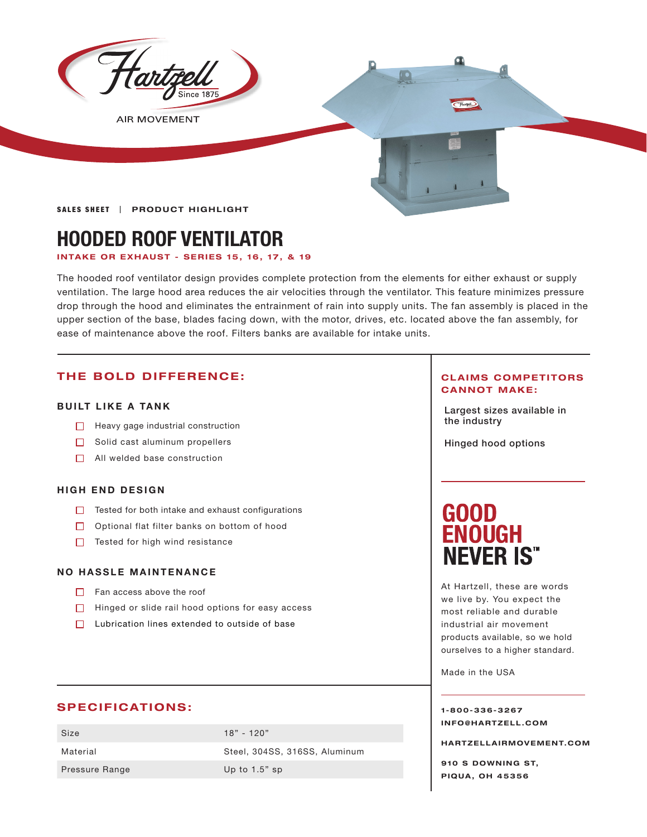

**AIR MOVEMENT** 

**SALES SHEET | PRODUCT HIGHLIGHT** 

## **HOODED ROOF VENTILATOR**

#### **INTAKE OR EXHAUST - SERIES 15, 16, 17, & 19**

The hooded roof ventilator design provides complete protection from the elements for either exhaust or supply ventilation. The large hood area reduces the air velocities through the ventilator. This feature minimizes pressure drop through the hood and eliminates the entrainment of rain into supply units. The fan assembly is placed in the upper section of the base, blades facing down, with the motor, drives, etc. located above the fan assembly, for ease of maintenance above the roof. Filters banks are available for intake units.

#### **THE BOLD DIFFERENCE:**

#### **BUILT LIKE A TANK**

- $\Box$  Heavy gage industrial construction
- $\Box$  Solid cast aluminum propellers
- $\Box$  All welded base construction

#### **HIGH END DESIGN**

- $\Box$  Tested for both intake and exhaust configurations
- □ Optional flat filter banks on bottom of hood
- $\Box$  Tested for high wind resistance

#### **NO HASSLE MAINTENANCE**

- $\Box$  Fan access above the roof
- $\Box$  Hinged or slide rail hood options for easy access
- □ Lubrication lines extended to outside of base

#### **SPECIFICATIONS:**

| Size                  | $18" - 120"$                  |
|-----------------------|-------------------------------|
| Material              | Steel, 304SS, 316SS, Aluminum |
| <b>Pressure Range</b> | Up to $1.5$ " sp              |

#### **CLAIMS COMPETITORS CANNOT MAKE:**

Largest sizes available in

Hinged hood options

# **GOOD<br>ENOUGH NEVER IS"**

At Hartzell, these are words we live by. You expect the most reliable and durable industrial air movement products available, so we hold ourselves to a higher standard.

Made in the USA

#### **1-800-336-3267 I N F O @ H A R T Z E L L . C OM**

**HARTZELLA IRMOVEMENT.COM**

**910 S DOWNING ST, PIQUA, OH 45356**